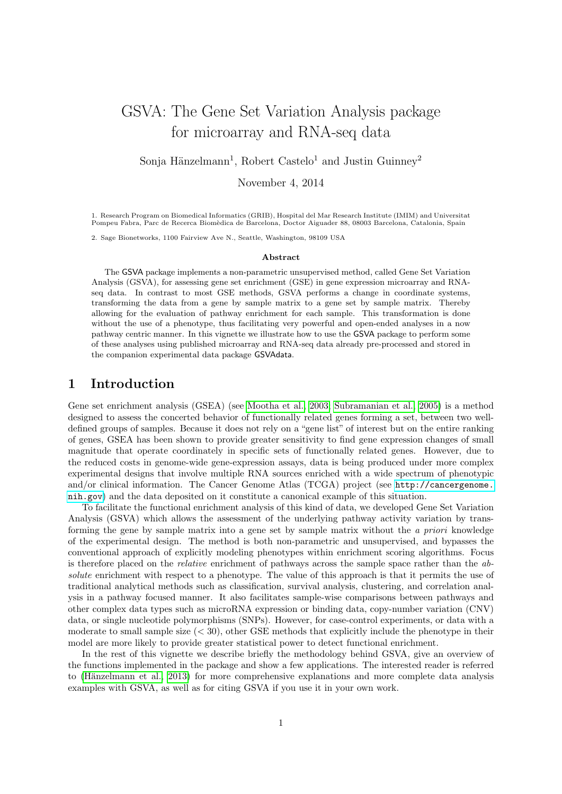# GSVA: The Gene Set Variation Analysis package for microarray and RNA-seq data

Sonja Hänzelmann<sup>1</sup>, Robert Castelo<sup>1</sup> and Justin Guinney<sup>2</sup>

November 4, 2014

1. Research Program on Biomedical Informatics (GRIB), Hospital del Mar Research Institute (IMIM) and Universitat Pompeu Fabra, Parc de Recerca Biomèdica de Barcelona, Doctor Aiguader 88, 08003 Barcelona, Catalonia, Spain

2. Sage Bionetworks, 1100 Fairview Ave N., Seattle, Washington, 98109 USA

#### Abstract

The GSVA package implements a non-parametric unsupervised method, called Gene Set Variation Analysis (GSVA), for assessing gene set enrichment (GSE) in gene expression microarray and RNAseq data. In contrast to most GSE methods, GSVA performs a change in coordinate systems, transforming the data from a gene by sample matrix to a gene set by sample matrix. Thereby allowing for the evaluation of pathway enrichment for each sample. This transformation is done without the use of a phenotype, thus facilitating very powerful and open-ended analyses in a now pathway centric manner. In this vignette we illustrate how to use the GSVA package to perform some of these analyses using published microarray and RNA-seq data already pre-processed and stored in the companion experimental data package GSVAdata.

### 1 Introduction

Gene set enrichment analysis (GSEA) (see [Mootha et al., 2003;](#page-19-0) [Subramanian et al., 2005\)](#page-19-1) is a method designed to assess the concerted behavior of functionally related genes forming a set, between two welldefined groups of samples. Because it does not rely on a "gene list" of interest but on the entire ranking of genes, GSEA has been shown to provide greater sensitivity to find gene expression changes of small magnitude that operate coordinately in specific sets of functionally related genes. However, due to the reduced costs in genome-wide gene-expression assays, data is being produced under more complex experimental designs that involve multiple RNA sources enriched with a wide spectrum of phenotypic and/or clinical information. The Cancer Genome Atlas (TCGA) project (see [http://cancergenome.](http://cancergenome.nih.gov) [nih.gov](http://cancergenome.nih.gov)) and the data deposited on it constitute a canonical example of this situation.

To facilitate the functional enrichment analysis of this kind of data, we developed Gene Set Variation Analysis (GSVA) which allows the assessment of the underlying pathway activity variation by transforming the gene by sample matrix into a gene set by sample matrix without the a priori knowledge of the experimental design. The method is both non-parametric and unsupervised, and bypasses the conventional approach of explicitly modeling phenotypes within enrichment scoring algorithms. Focus is therefore placed on the relative enrichment of pathways across the sample space rather than the absolute enrichment with respect to a phenotype. The value of this approach is that it permits the use of traditional analytical methods such as classification, survival analysis, clustering, and correlation analysis in a pathway focused manner. It also facilitates sample-wise comparisons between pathways and other complex data types such as microRNA expression or binding data, copy-number variation (CNV) data, or single nucleotide polymorphisms (SNPs). However, for case-control experiments, or data with a moderate to small sample size  $( $30$ ), other GSE methods that explicitly include the phenotype in their$ model are more likely to provide greater statistical power to detect functional enrichment.

In the rest of this vignette we describe briefly the methodology behind GSVA, give an overview of the functions implemented in the package and show a few applications. The interested reader is referred to (Hänzelmann et al., 2013) for more comprehensive explanations and more complete data analysis examples with GSVA, as well as for citing GSVA if you use it in your own work.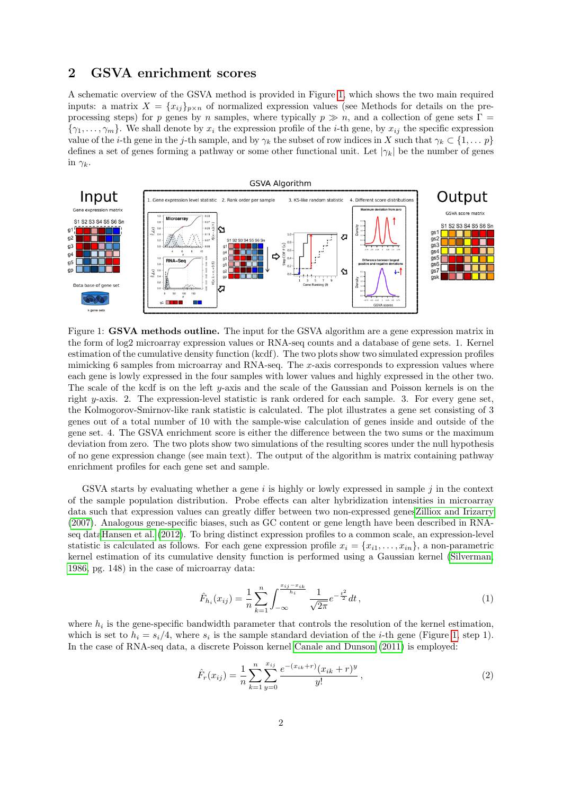### 2 GSVA enrichment scores

A schematic overview of the GSVA method is provided in Figure [1,](#page-1-0) which shows the two main required inputs: a matrix  $X = \{x_{ij}\}_{p \times n}$  of normalized expression values (see Methods for details on the preprocessing steps) for p genes by n samples, where typically  $p \gg n$ , and a collection of gene sets  $\Gamma =$  $\{\gamma_1,\ldots,\gamma_m\}$ . We shall denote by  $x_i$  the expression profile of the *i*-th gene, by  $x_{ij}$  the specific expression value of the *i*-th gene in the *j*-th sample, and by  $\gamma_k$  the subset of row indices in X such that  $\gamma_k \subset \{1, \ldots p\}$ defines a set of genes forming a pathway or some other functional unit. Let  $|\gamma_k|$  be the number of genes in  $\gamma_k$ .



<span id="page-1-0"></span>Figure 1: GSVA methods outline. The input for the GSVA algorithm are a gene expression matrix in the form of log2 microarray expression values or RNA-seq counts and a database of gene sets. 1. Kernel estimation of the cumulative density function (kcdf). The two plots show two simulated expression profiles mimicking 6 samples from microarray and RNA-seq. The x-axis corresponds to expression values where each gene is lowly expressed in the four samples with lower values and highly expressed in the other two. The scale of the kcdf is on the left y-axis and the scale of the Gaussian and Poisson kernels is on the right y-axis. 2. The expression-level statistic is rank ordered for each sample. 3. For every gene set, the Kolmogorov-Smirnov-like rank statistic is calculated. The plot illustrates a gene set consisting of 3 genes out of a total number of 10 with the sample-wise calculation of genes inside and outside of the gene set. 4. The GSVA enrichment score is either the difference between the two sums or the maximum deviation from zero. The two plots show two simulations of the resulting scores under the null hypothesis of no gene expression change (see main text). The output of the algorithm is matrix containing pathway enrichment profiles for each gene set and sample.

GSVA starts by evaluating whether a gene  $i$  is highly or lowly expressed in sample  $j$  in the context of the sample population distribution. Probe effects can alter hybridization intensities in microarray data such that expression values can greatly differ between two non-expressed gene[sZilliox and Irizarry](#page-19-3) [\(2007\)](#page-19-3). Analogous gene-specific biases, such as GC content or gene length have been described in RNAseq dat[aHansen et al. \(2012\)](#page-19-4). To bring distinct expression profiles to a common scale, an expression-level statistic is calculated as follows. For each gene expression profile  $x_i = \{x_{i1}, \ldots, x_{in}\}\$ , a non-parametric kernel estimation of its cumulative density function is performed using a Gaussian kernel [\(Silverman,](#page-19-5) [1986,](#page-19-5) pg. 148) in the case of microarray data:

$$
\hat{F}_{h_i}(x_{ij}) = \frac{1}{n} \sum_{k=1}^n \int_{-\infty}^{\frac{x_{ij} - x_{ik}}{h_i}} \frac{1}{\sqrt{2\pi}} e^{-\frac{t^2}{2}} dt,
$$
\n(1)

where  $h_i$  is the gene-specific bandwidth parameter that controls the resolution of the kernel estimation, which is set to  $h_i = s_i/4$ , where  $s_i$  is the sample standard deviation of the *i*-th gene (Figure [1,](#page-1-0) step 1). In the case of RNA-seq data, a discrete Poisson kernel [Canale and Dunson \(2011\)](#page-17-0) is employed:

$$
\hat{F}_r(x_{ij}) = \frac{1}{n} \sum_{k=1}^n \sum_{y=0}^{x_{ij}} \frac{e^{-(x_{ik}+r)}(x_{ik}+r)y}{y!},
$$
\n(2)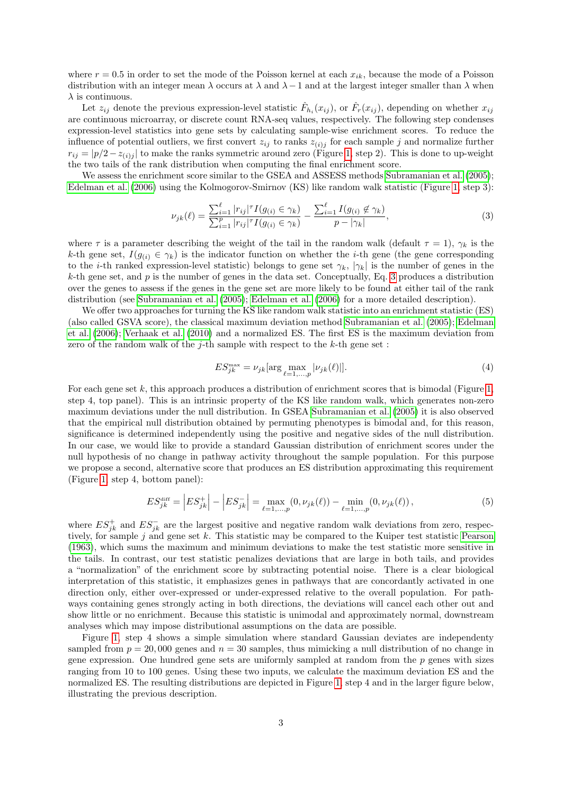where  $r = 0.5$  in order to set the mode of the Poisson kernel at each  $x_{ik}$ , because the mode of a Poisson distribution with an integer mean  $\lambda$  occurs at  $\lambda$  and  $\lambda-1$  and at the largest integer smaller than  $\lambda$  when  $\lambda$  is continuous.

Let  $z_{ij}$  denote the previous expression-level statistic  $\hat{F}_{h_i}(x_{ij})$ , or  $\hat{F}_r(x_{ij})$ , depending on whether  $x_{ij}$ are continuous microarray, or discrete count RNA-seq values, respectively. The following step condenses expression-level statistics into gene sets by calculating sample-wise enrichment scores. To reduce the influence of potential outliers, we first convert  $z_{ij}$  to ranks  $z_{(i)j}$  for each sample j and normalize further  $r_{ij} = |p/2 - z_{(i)j}|$  to make the ranks symmetric around zero (Figure [1,](#page-1-0) step 2). This is done to up-weight the two tails of the rank distribution when computing the final enrichment score.

We assess the enrichment score similar to the GSEA and ASSESS methods [Subramanian et al. \(2005\)](#page-19-1); [Edelman et al. \(2006\)](#page-17-1) using the Kolmogorov-Smirnov (KS) like random walk statistic (Figure [1,](#page-1-0) step 3):

<span id="page-2-0"></span>
$$
\nu_{jk}(\ell) = \frac{\sum_{i=1}^{\ell} |r_{ij}|^{\tau} I(g_{(i)} \in \gamma_k)}{\sum_{i=1}^{p} |r_{ij}|^{\tau} I(g_{(i)} \in \gamma_k)} - \frac{\sum_{i=1}^{\ell} I(g_{(i)} \notin \gamma_k)}{p - |\gamma_k|},
$$
\n(3)

where  $\tau$  is a parameter describing the weight of the tail in the random walk (default  $\tau = 1$ ),  $\gamma_k$  is the k-th gene set,  $I(g_{(i)} \in \gamma_k)$  is the indicator function on whether the *i*-th gene (the gene corresponding to the *i*-th ranked expression-level statistic) belongs to gene set  $\gamma_k$ ,  $|\gamma_k|$  is the number of genes in the k-th gene set, and  $p$  is the number of genes in the data set. Conceptually, Eq. [3](#page-2-0) produces a distribution over the genes to assess if the genes in the gene set are more likely to be found at either tail of the rank distribution (see [Subramanian et al. \(2005\)](#page-19-1); [Edelman et al. \(2006\)](#page-17-1) for a more detailed description).

We offer two approaches for turning the KS like random walk statistic into an enrichment statistic (ES) (also called GSVA score), the classical maximum deviation method [Subramanian et al. \(2005\)](#page-19-1); [Edelman](#page-17-1) [et al. \(2006\)](#page-17-1); [Verhaak et al. \(2010\)](#page-19-6) and a normalized ES. The first ES is the maximum deviation from zero of the random walk of the  $j$ -th sample with respect to the  $k$ -th gene set :

<span id="page-2-2"></span>
$$
ES_{jk}^{\max} = \nu_{jk} [\arg \max_{\ell=1,\dots,p} |\nu_{jk}(\ell)|]. \tag{4}
$$

For each gene set  $k$ , this approach produces a distribution of enrichment scores that is bimodal (Figure [1,](#page-1-0) step 4, top panel). This is an intrinsic property of the KS like random walk, which generates non-zero maximum deviations under the null distribution. In GSEA [Subramanian et al. \(2005\)](#page-19-1) it is also observed that the empirical null distribution obtained by permuting phenotypes is bimodal and, for this reason, significance is determined independently using the positive and negative sides of the null distribution. In our case, we would like to provide a standard Gaussian distribution of enrichment scores under the null hypothesis of no change in pathway activity throughout the sample population. For this purpose we propose a second, alternative score that produces an ES distribution approximating this requirement (Figure [1,](#page-1-0) step 4, bottom panel):

<span id="page-2-1"></span>
$$
ES_{jk}^{\text{diff}} = \left| ES_{jk}^+ \right| - \left| ES_{jk}^- \right| = \max_{\ell=1,\dots,p} (0, \nu_{jk}(\ell)) - \min_{\ell=1,\dots,p} (0, \nu_{jk}(\ell)), \tag{5}
$$

where  $ES_{jk}^{+}$  and  $ES_{jk}^{-}$  are the largest positive and negative random walk deviations from zero, respectively, for sample j and gene set k. This statistic may be compared to the Kuiper test statistic [Pearson](#page-19-7) [\(1963\)](#page-19-7), which sums the maximum and minimum deviations to make the test statistic more sensitive in the tails. In contrast, our test statistic penalizes deviations that are large in both tails, and provides a "normalization" of the enrichment score by subtracting potential noise. There is a clear biological interpretation of this statistic, it emphasizes genes in pathways that are concordantly activated in one direction only, either over-expressed or under-expressed relative to the overall population. For pathways containing genes strongly acting in both directions, the deviations will cancel each other out and show little or no enrichment. Because this statistic is unimodal and approximately normal, downstream analyses which may impose distributional assumptions on the data are possible.

Figure [1,](#page-1-0) step 4 shows a simple simulation where standard Gaussian deviates are independenty sampled from  $p = 20,000$  genes and  $n = 30$  samples, thus mimicking a null distribution of no change in gene expression. One hundred gene sets are uniformly sampled at random from the  $p$  genes with sizes ranging from 10 to 100 genes. Using these two inputs, we calculate the maximum deviation ES and the normalized ES. The resulting distributions are depicted in Figure [1,](#page-1-0) step 4 and in the larger figure below, illustrating the previous description.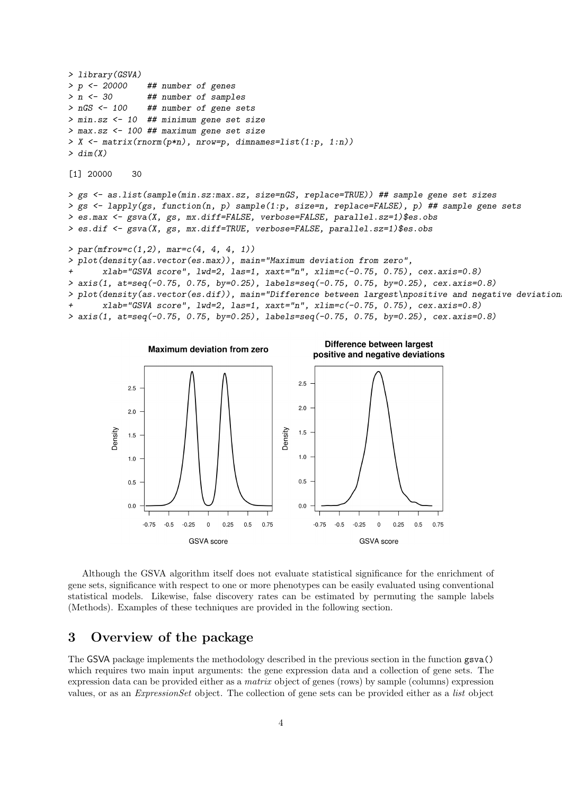```
> library(GSVA)
> p <- 20000 ## number of genes
> n <- 30 ## number of samples
> nGS <- 100 ## number of gene sets
> min.sz <- 10 ## minimum gene set size
> max.sz <- 100 ## maximum gene set size
> X <- matrix(rnorm(p*n), nrow=p, dimnames=list(1:p, 1:n))
> dim(X)[1] 20000 30
> gs <- as.list(sample(min.sz:max.sz, size=nGS, replace=TRUE)) ## sample gene set sizes
> gs \le lapply(gs, function(n, p) sample(1:p, size=n, replace=FALSE), p) ## sample gene sets
> es.max <- gsva(X, gs, mx.diff=FALSE, verbose=FALSE, parallel.sz=1)$es.obs
> es.dif <- gsva(X, gs, mx.diff=TRUE, verbose=FALSE, parallel.sz=1)$es.obs
> par(mfrow=c(1,2), mar=c(4, 4, 4, 1))> plot(density(as.vector(es.max)), main="Maximum deviation from zero",
       xlab="GSVA score", lwd=2, las=1, xaxt="n", xlim=c(-0.75, 0.75), cex.axis=0.8)
> axis(1, at=seq(-0.75, 0.75, by=0.25), labels=seq(-0.75, 0.75, by=0.25), cex.axis=0.8)> plot(density(as.vector(es.dif)), main="Difference between largest\npositive and negative deviations",
       xlab="GSVA score", lwd=2, las=1, xaxt="n", xlim=c(-0.75, 0.75), cex.axis=0.8)
> axis(1, at=seq(-0.75, 0.75, by=0.25), labels=seq(-0.75, 0.75, by=0.25), cex.axis=0.8)
```


Although the GSVA algorithm itself does not evaluate statistical significance for the enrichment of gene sets, significance with respect to one or more phenotypes can be easily evaluated using conventional statistical models. Likewise, false discovery rates can be estimated by permuting the sample labels (Methods). Examples of these techniques are provided in the following section.

### 3 Overview of the package

The GSVA package implements the methodology described in the previous section in the function gsva() which requires two main input arguments: the gene expression data and a collection of gene sets. The expression data can be provided either as a matrix object of genes (rows) by sample (columns) expression values, or as an ExpressionSet object. The collection of gene sets can be provided either as a list object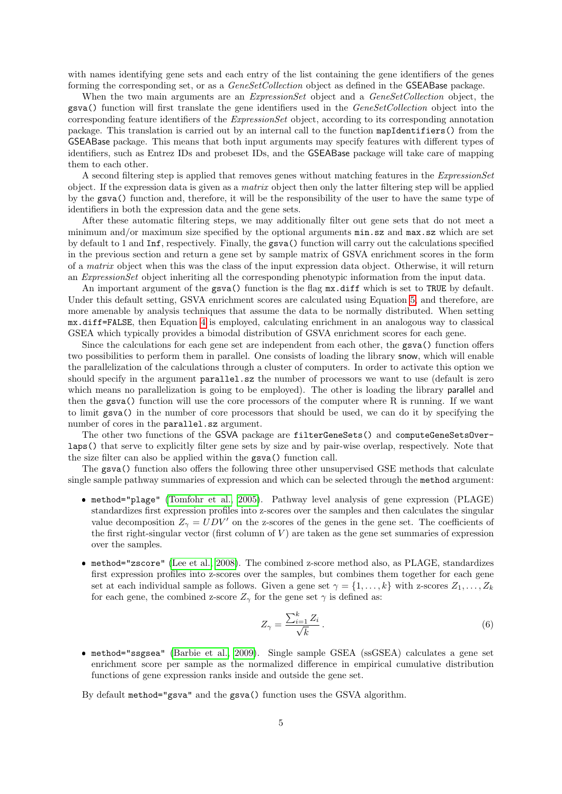with names identifying gene sets and each entry of the list containing the gene identifiers of the genes forming the corresponding set, or as a *GeneSetCollection* object as defined in the GSEABase package.

When the two main arguments are an *ExpressionSet* object and a *GeneSetCollection* object, the gsva() function will first translate the gene identifiers used in the GeneSetCollection object into the corresponding feature identifiers of the ExpressionSet object, according to its corresponding annotation package. This translation is carried out by an internal call to the function mapIdentifiers() from the GSEABase package. This means that both input arguments may specify features with different types of identifiers, such as Entrez IDs and probeset IDs, and the GSEABase package will take care of mapping them to each other.

A second filtering step is applied that removes genes without matching features in the ExpressionSet object. If the expression data is given as a matrix object then only the latter filtering step will be applied by the gsva() function and, therefore, it will be the responsibility of the user to have the same type of identifiers in both the expression data and the gene sets.

After these automatic filtering steps, we may additionally filter out gene sets that do not meet a minimum and/or maximum size specified by the optional arguments min.sz and max.sz which are set by default to 1 and Inf, respectively. Finally, the gsva() function will carry out the calculations specified in the previous section and return a gene set by sample matrix of GSVA enrichment scores in the form of a matrix object when this was the class of the input expression data object. Otherwise, it will return an ExpressionSet object inheriting all the corresponding phenotypic information from the input data.

An important argument of the gsva() function is the flag  $mx$  diff which is set to TRUE by default. Under this default setting, GSVA enrichment scores are calculated using Equation [5,](#page-2-1) and therefore, are more amenable by analysis techniques that assume the data to be normally distributed. When setting mx.diff=FALSE, then Equation [4](#page-2-2) is employed, calculating enrichment in an analogous way to classical GSEA which typically provides a bimodal distribution of GSVA enrichment scores for each gene.

Since the calculations for each gene set are independent from each other, the gsva() function offers two possibilities to perform them in parallel. One consists of loading the library snow, which will enable the parallelization of the calculations through a cluster of computers. In order to activate this option we should specify in the argument parallel.sz the number of processors we want to use (default is zero which means no parallelization is going to be employed). The other is loading the library **parallel** and then the gsva() function will use the core processors of the computer where R is running. If we want to limit gsva() in the number of core processors that should be used, we can do it by specifying the number of cores in the parallel.sz argument.

The other two functions of the GSVA package are filterGeneSets() and computeGeneSetsOverlaps() that serve to explicitly filter gene sets by size and by pair-wise overlap, respectively. Note that the size filter can also be applied within the gsva() function call.

The gsva() function also offers the following three other unsupervised GSE methods that calculate single sample pathway summaries of expression and which can be selected through the method argument:

- method="plage" [\(Tomfohr et al., 2005\)](#page-19-8). Pathway level analysis of gene expression (PLAGE) standardizes first expression profiles into z-scores over the samples and then calculates the singular value decomposition  $Z_{\gamma} = UDV'$  on the z-scores of the genes in the gene set. The coefficients of the first right-singular vector (first column of  $V$ ) are taken as the gene set summaries of expression over the samples.
- method="zscore" [\(Lee et al., 2008\)](#page-19-9). The combined z-score method also, as PLAGE, standardizes first expression profiles into z-scores over the samples, but combines them together for each gene set at each individual sample as follows. Given a gene set  $\gamma = \{1, \ldots, k\}$  with z-scores  $Z_1, \ldots, Z_k$ for each gene, the combined z-score  $Z_{\gamma}$  for the gene set  $\gamma$  is defined as:

$$
Z_{\gamma} = \frac{\sum_{i=1}^{k} Z_i}{\sqrt{k}}.
$$
\n
$$
(6)
$$

 method="ssgsea" [\(Barbie et al., 2009\)](#page-17-2). Single sample GSEA (ssGSEA) calculates a gene set enrichment score per sample as the normalized difference in empirical cumulative distribution functions of gene expression ranks inside and outside the gene set.

By default method="gsva" and the gsva() function uses the GSVA algorithm.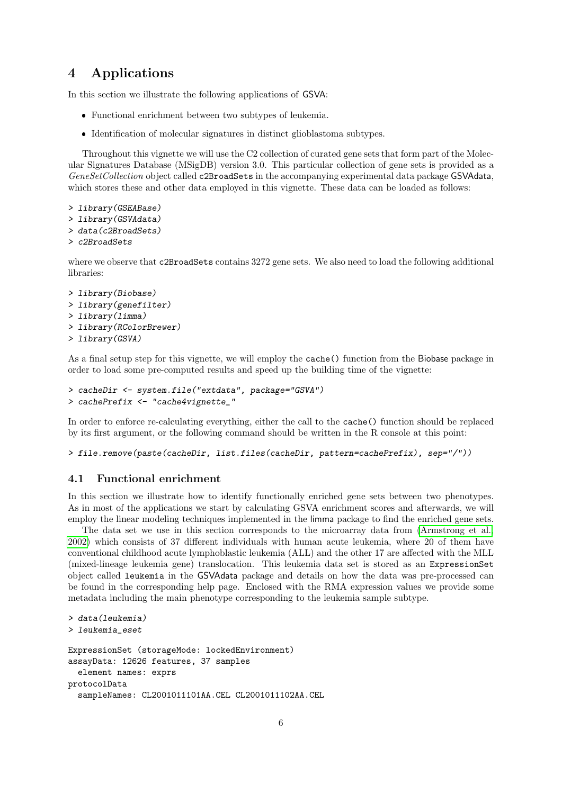## 4 Applications

In this section we illustrate the following applications of GSVA:

- Functional enrichment between two subtypes of leukemia.
- Identification of molecular signatures in distinct glioblastoma subtypes.

Throughout this vignette we will use the C2 collection of curated gene sets that form part of the Molecular Signatures Database (MSigDB) version 3.0. This particular collection of gene sets is provided as a GeneSetCollection object called c2BroadSets in the accompanying experimental data package GSVAdata, which stores these and other data employed in this vignette. These data can be loaded as follows:

```
> library(GSEABase)
> library(GSVAdata)
```
- > data(c2BroadSets)
- > c2BroadSets

where we observe that c2BroadSets contains 3272 gene sets. We also need to load the following additional libraries:

```
> library(Biobase)
> library(genefilter)
> library(limma)
> library(RColorBrewer)
> library(GSVA)
```
As a final setup step for this vignette, we will employ the cache() function from the Biobase package in order to load some pre-computed results and speed up the building time of the vignette:

```
> cacheDir <- system.file("extdata", package="GSVA")
> cachePrefix <- "cache4vignette_"
```
In order to enforce re-calculating everything, either the call to the cache() function should be replaced by its first argument, or the following command should be written in the R console at this point:

```
> file.remove(paste(cacheDir, list.files(cacheDir, pattern=cachePrefix), sep="/"))
```
### 4.1 Functional enrichment

In this section we illustrate how to identify functionally enriched gene sets between two phenotypes. As in most of the applications we start by calculating GSVA enrichment scores and afterwards, we will employ the linear modeling techniques implemented in the limma package to find the enriched gene sets.

The data set we use in this section corresponds to the microarray data from [\(Armstrong et al.,](#page-17-3) [2002\)](#page-17-3) which consists of 37 different individuals with human acute leukemia, where 20 of them have conventional childhood acute lymphoblastic leukemia (ALL) and the other 17 are affected with the MLL (mixed-lineage leukemia gene) translocation. This leukemia data set is stored as an ExpressionSet object called leukemia in the GSVAdata package and details on how the data was pre-processed can be found in the corresponding help page. Enclosed with the RMA expression values we provide some metadata including the main phenotype corresponding to the leukemia sample subtype.

```
> data(leukemia)
> leukemia_eset
ExpressionSet (storageMode: lockedEnvironment)
assayData: 12626 features, 37 samples
  element names: exprs
protocolData
  sampleNames: CL2001011101AA.CEL CL2001011102AA.CEL
```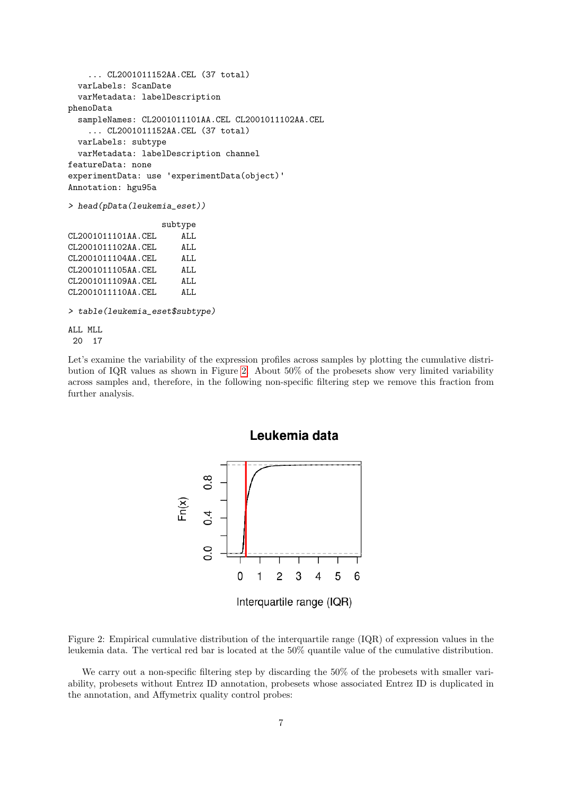```
... CL2001011152AA.CEL (37 total)
 varLabels: ScanDate
 varMetadata: labelDescription
phenoData
 sampleNames: CL2001011101AA.CEL CL2001011102AA.CEL
    ... CL2001011152AA.CEL (37 total)
 varLabels: subtype
 varMetadata: labelDescription channel
featureData: none
experimentData: use 'experimentData(object)'
Annotation: hgu95a
> head(pData(leukemia_eset))
                  subtype
CL2001011101AA.CEL ALL
CL2001011102AA.CEL ALL
CL2001011104AA.CEL ALL
CL2001011105AA.CEL ALL
CL2001011109AA.CEL ALL
CL2001011110AA.CEL ALL
> table(leukemia_eset$subtype)
ALL MLL
20 17
```
Let's examine the variability of the expression profiles across samples by plotting the cumulative distribution of IQR values as shown in Figure [2.](#page-6-0) About 50% of the probesets show very limited variability across samples and, therefore, in the following non-specific filtering step we remove this fraction from further analysis.



<span id="page-6-0"></span>Figure 2: Empirical cumulative distribution of the interquartile range (IQR) of expression values in the leukemia data. The vertical red bar is located at the 50% quantile value of the cumulative distribution.

We carry out a non-specific filtering step by discarding the 50% of the probesets with smaller variability, probesets without Entrez ID annotation, probesets whose associated Entrez ID is duplicated in the annotation, and Affymetrix quality control probes: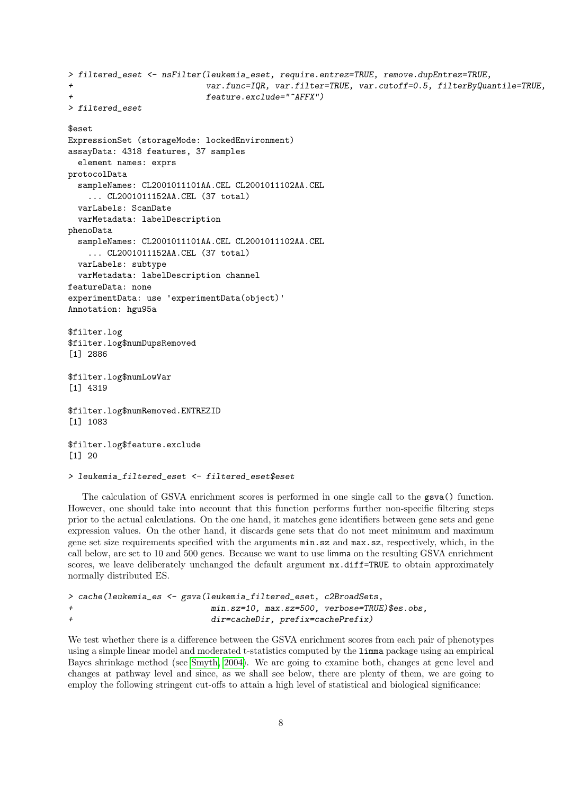```
> filtered_eset <- nsFilter(leukemia_eset, require.entrez=TRUE, remove.dupEntrez=TRUE,
+ var.func=IQR, var.filter=TRUE, var.cutoff=0.5, filterByQuantile=TRUE,
+ feature.exclude="^AFFX")
> filtered_eset
$eset
ExpressionSet (storageMode: lockedEnvironment)
assayData: 4318 features, 37 samples
 element names: exprs
protocolData
 sampleNames: CL2001011101AA.CEL CL2001011102AA.CEL
    ... CL2001011152AA.CEL (37 total)
 varLabels: ScanDate
 varMetadata: labelDescription
phenoData
 sampleNames: CL2001011101AA.CEL CL2001011102AA.CEL
    ... CL2001011152AA.CEL (37 total)
 varLabels: subtype
 varMetadata: labelDescription channel
featureData: none
experimentData: use 'experimentData(object)'
Annotation: hgu95a
$filter.log
$filter.log$numDupsRemoved
[1] 2886
$filter.log$numLowVar
[1] 4319
$filter.log$numRemoved.ENTREZID
[1] 1083
$filter.log$feature.exclude
[1] 20
```

```
> leukemia_filtered_eset <- filtered_eset$eset
```
The calculation of GSVA enrichment scores is performed in one single call to the gsva() function. However, one should take into account that this function performs further non-specific filtering steps prior to the actual calculations. On the one hand, it matches gene identifiers between gene sets and gene expression values. On the other hand, it discards gene sets that do not meet minimum and maximum gene set size requirements specified with the arguments min.sz and max.sz, respectively, which, in the call below, are set to 10 and 500 genes. Because we want to use limma on the resulting GSVA enrichment scores, we leave deliberately unchanged the default argument  $mx.diff=TRUE$  to obtain approximately normally distributed ES.

```
> cache(leukemia_es <- gsva(leukemia_filtered_eset, c2BroadSets,
                        min.sz=10, max.sz=500, verbose=TRUE)$es.obs,
+ dir=cacheDir, prefix=cachePrefix)
```
We test whether there is a difference between the GSVA enrichment scores from each pair of phenotypes using a simple linear model and moderated t-statistics computed by the limma package using an empirical Bayes shrinkage method (see [Smyth, 2004\)](#page-19-10). We are going to examine both, changes at gene level and changes at pathway level and since, as we shall see below, there are plenty of them, we are going to employ the following stringent cut-offs to attain a high level of statistical and biological significance: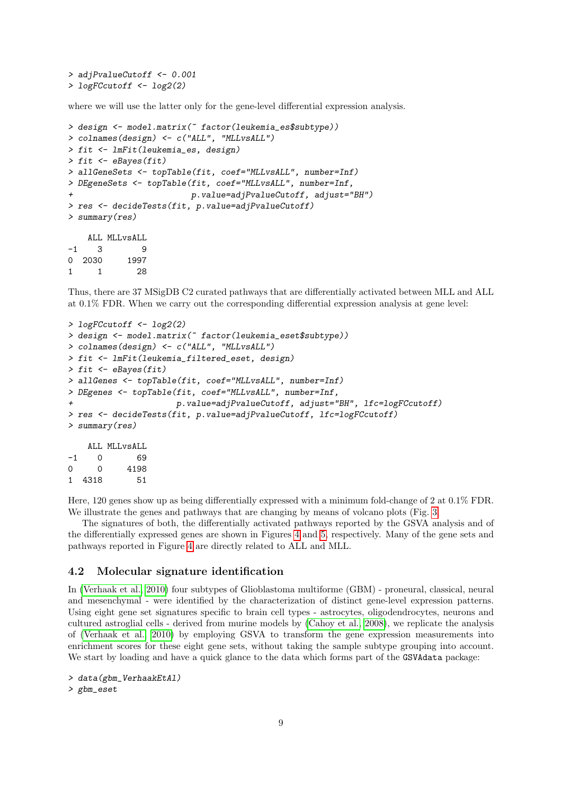> adjPvalueCutoff <- 0.001 > logFCcutoff <- log2(2)

where we will use the latter only for the gene-level differential expression analysis.

```
> design <- model.matrix(~ factor(leukemia_es$subtype))
> colnames(design) <- c("ALL", "MLLvsALL")
> fit <- lmFit(leukemia_es, design)
> fit <- eBayes(fit)
> allGeneSets <- topTable(fit, coef="MLLvsALL", number=Inf)
> DEgeneSets <- topTable(fit, coef="MLLvsALL", number=Inf,
                        + p.value=adjPvalueCutoff, adjust="BH")
> res <- decideTests(fit, p.value=adjPvalueCutoff)
> summary(res)
    ALL MLLvsALL
-1 3 9
0 2030 1997
1 1 28
```
Thus, there are 37 MSigDB C2 curated pathways that are differentially activated between MLL and ALL at 0.1% FDR. When we carry out the corresponding differential expression analysis at gene level:

```
> logFCcutoff <- log2(2)
> design <- model.matrix(~ factor(leukemia_eset$subtype))
> colnames(design) <- c("ALL", "MLLvsALL")
> fit <- lmFit(leukemia_filtered_eset, design)
> fit <- eBayes(fit)
> allGenes <- topTable(fit, coef="MLLvsALL", number=Inf)
> DEgenes <- topTable(fit, coef="MLLvsALL", number=Inf,
                      + p.value=adjPvalueCutoff, adjust="BH", lfc=logFCcutoff)
> res <- decideTests(fit, p.value=adjPvalueCutoff, lfc=logFCcutoff)
> summary(res)
    ALL MLLvsALL
```
-1 0 69 0 0 4198 1 4318 51

Here, 120 genes show up as being differentially expressed with a minimum fold-change of 2 at 0.1% FDR. We illustrate the genes and pathways that are changing by means of volcano plots (Fig. [3.](#page-9-0)

The signatures of both, the differentially activated pathways reported by the GSVA analysis and of the differentially expressed genes are shown in Figures [4](#page-10-0) and [5,](#page-11-0) respectively. Many of the gene sets and pathways reported in Figure [4](#page-10-0) are directly related to ALL and MLL.

#### 4.2 Molecular signature identification

In [\(Verhaak et al., 2010\)](#page-19-6) four subtypes of Glioblastoma multiforme (GBM) - proneural, classical, neural and mesenchymal - were identified by the characterization of distinct gene-level expression patterns. Using eight gene set signatures specific to brain cell types - astrocytes, oligodendrocytes, neurons and cultured astroglial cells - derived from murine models by [\(Cahoy et al., 2008\)](#page-17-4), we replicate the analysis of [\(Verhaak et al., 2010\)](#page-19-6) by employing GSVA to transform the gene expression measurements into enrichment scores for these eight gene sets, without taking the sample subtype grouping into account. We start by loading and have a quick glance to the data which forms part of the GSVAdata package:

```
> data(gbm_VerhaakEtAl)
```

```
> gbm_eset
```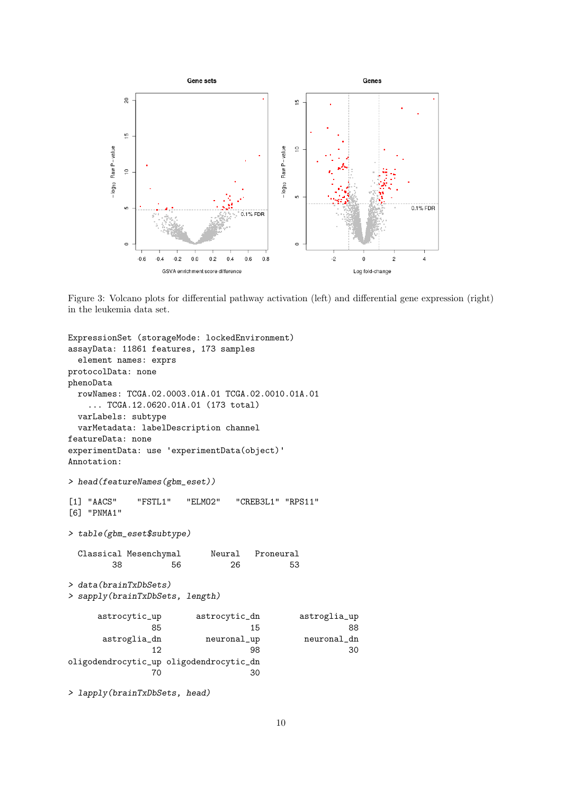

<span id="page-9-0"></span>Figure 3: Volcano plots for differential pathway activation (left) and differential gene expression (right) in the leukemia data set.

```
ExpressionSet (storageMode: lockedEnvironment)
assayData: 11861 features, 173 samples
 element names: exprs
protocolData: none
phenoData
 rowNames: TCGA.02.0003.01A.01 TCGA.02.0010.01A.01
   ... TCGA.12.0620.01A.01 (173 total)
 varLabels: subtype
 varMetadata: labelDescription channel
featureData: none
experimentData: use 'experimentData(object)'
Annotation:
> head(featureNames(gbm_eset))
[1] "AACS" "FSTL1" "ELMO2" "CREB3L1" "RPS11"
[6] "PNMA1"
> table(gbm_eset$subtype)
 Classical Mesenchymal Neural Proneural
       38 56 26 53
> data(brainTxDbSets)
> sapply(brainTxDbSets, length)
     astrocytic_up astrocytic_dn astroglia_up
              85 15 88
     astroglia_dn neuronal_up neuronal_dn
              12 98 30
oligodendrocytic_up oligodendrocytic_dn
              70 30
```
> lapply(brainTxDbSets, head)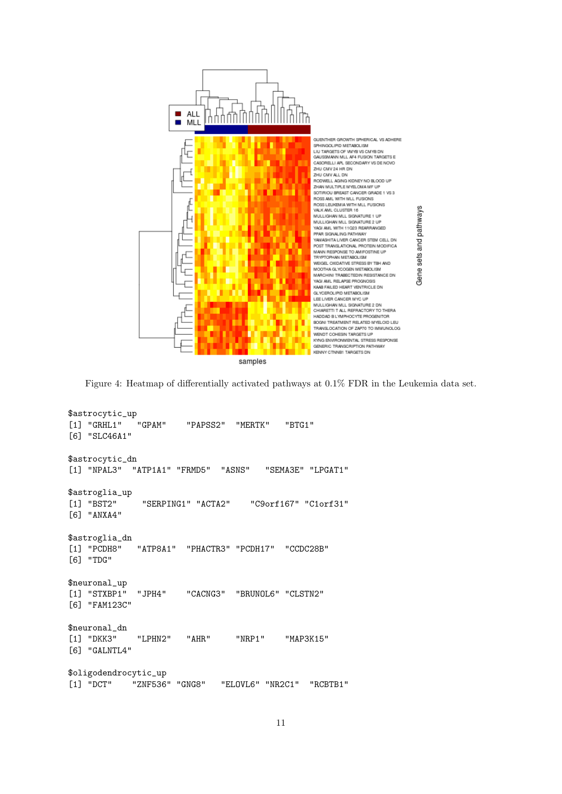

<span id="page-10-0"></span>Figure 4: Heatmap of differentially activated pathways at 0.1% FDR in the Leukemia data set.

```
$astrocytic_up
[1] "GRHL1" "GPAM" "PAPSS2" "MERTK" "BTG1"
[6] "SLC46A1"
$astrocytic_dn
[1] "NPAL3" "ATP1A1" "FRMD5" "ASNS" "SEMA3E" "LPGAT1"
$astroglia_up
[1] "BST2" "SERPING1" "ACTA2" "C9orf167" "C1orf31"
[6] "ANXA4"
$astroglia_dn<br>[1] "PCDH8"
             "ATP8A1" "PHACTR3" "PCDH17" "CCDC28B"
[6] "TDG"
$neuronal_up
[1] "STXBP1" "JPH4" "CACNG3" "BRUNOL6" "CLSTN2"
[6] "FAM123C"
$neuronal_dn
[1] "DKK3" "LPHN2" "AHR" "NRP1" "MAP3K15"
[6] "GALNTL4"
$oligodendrocytic_up
[1] "DCT" "ZNF536" "GNG8" "ELOVL6" "NR2C1" "RCBTB1"
```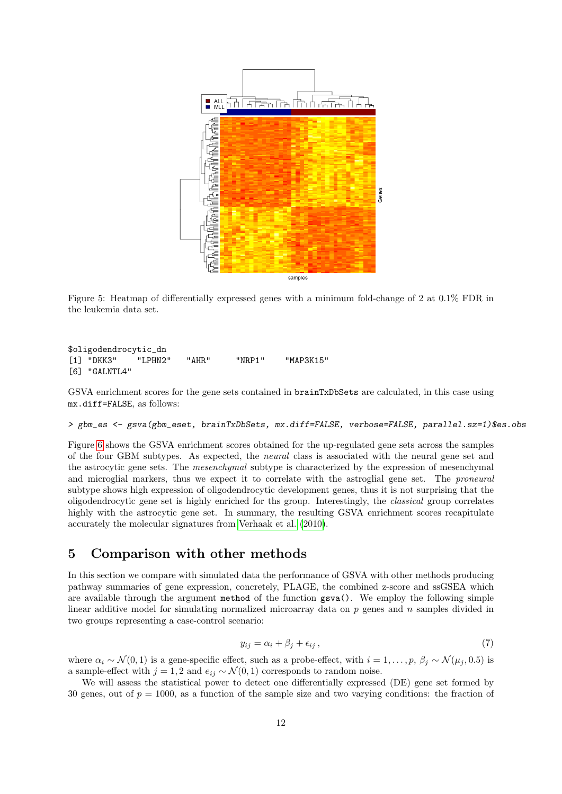

<span id="page-11-0"></span>Figure 5: Heatmap of differentially expressed genes with a minimum fold-change of 2 at 0.1% FDR in the leukemia data set.

```
$oligodendrocytic_dn
[1] "DKK3" "LPHN2" "AHR" "NRP1" "MAP3K15"
[6] "GALNTL4"
```
GSVA enrichment scores for the gene sets contained in brainTxDbSets are calculated, in this case using mx.diff=FALSE, as follows:

#### > gbm\_es <- gsva(gbm\_eset, brainTxDbSets, mx.diff=FALSE, verbose=FALSE, parallel.sz=1)\$es.obs

Figure [6](#page-12-0) shows the GSVA enrichment scores obtained for the up-regulated gene sets across the samples of the four GBM subtypes. As expected, the neural class is associated with the neural gene set and the astrocytic gene sets. The mesenchymal subtype is characterized by the expression of mesenchymal and microglial markers, thus we expect it to correlate with the astroglial gene set. The proneural subtype shows high expression of oligodendrocytic development genes, thus it is not surprising that the oligodendrocytic gene set is highly enriched for ths group. Interestingly, the classical group correlates highly with the astrocytic gene set. In summary, the resulting GSVA enrichment scores recapitulate accurately the molecular signatures from [Verhaak et al. \(2010\)](#page-19-6).

### 5 Comparison with other methods

In this section we compare with simulated data the performance of GSVA with other methods producing pathway summaries of gene expression, concretely, PLAGE, the combined z-score and ssGSEA which are available through the argument method of the function gsva(). We employ the following simple linear additive model for simulating normalized microarray data on  $p$  genes and  $n$  samples divided in two groups representing a case-control scenario:

$$
y_{ij} = \alpha_i + \beta_j + \epsilon_{ij},\tag{7}
$$

where  $\alpha_i \sim \mathcal{N}(0, 1)$  is a gene-specific effect, such as a probe-effect, with  $i = 1, \ldots, p$ ,  $\beta_i \sim \mathcal{N}(\mu_i, 0.5)$  is a sample-effect with  $j = 1, 2$  and  $e_{ij} \sim \mathcal{N}(0, 1)$  corresponds to random noise.

We will assess the statistical power to detect one differentially expressed (DE) gene set formed by 30 genes, out of  $p = 1000$ , as a function of the sample size and two varying conditions: the fraction of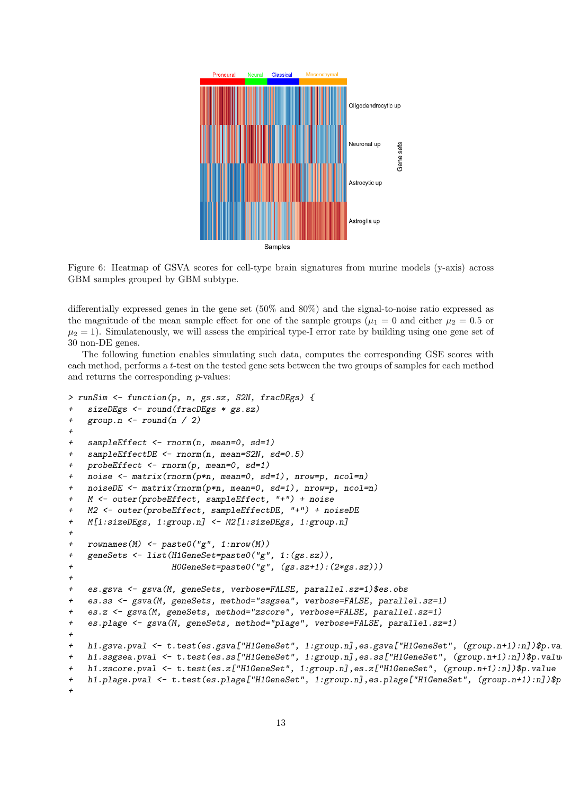

<span id="page-12-0"></span>Figure 6: Heatmap of GSVA scores for cell-type brain signatures from murine models (y-axis) across GBM samples grouped by GBM subtype.

differentially expressed genes in the gene set (50% and 80%) and the signal-to-noise ratio expressed as the magnitude of the mean sample effect for one of the sample groups ( $\mu_1 = 0$  and either  $\mu_2 = 0.5$  or  $\mu_2 = 1$ ). Simulatenously, we will assess the empirical type-I error rate by building using one gene set of 30 non-DE genes.

The following function enables simulating such data, computes the corresponding GSE scores with each method, performs a t-test on the tested gene sets between the two groups of samples for each method and returns the corresponding  $p$ -values:

```
> runSim <- function(p, n, gs.sz, S2N, fracDEgs) {
+ sizeDEgs <- round(fracDEgs * gs.sz)
+ group.n \leftarrow round(n / 2)+
+ sampleEffect <- rnorm(n, mean=0, sd=1)
+ sampleEffectDE <- rnorm(n, mean=S2N, sd=0.5)
+ probeEffect <- rnorm(p, mean=0, sd=1)
+ noise <- matrix(rnorm(p*n, mean=0, sd=1), nrow=p, ncol=n)
+ noiseDE <- matrix(rnorm(p*n, mean=0, sd=1), nrow=p, ncol=n)
+ M <- outer(probeEffect, sampleEffect, "+") + noise
+ M2 <- outer(probeEffect, sampleEffectDE, "+") + noiseDE
+ M[1:sizeDEgs, 1:group.n] <- M2[1:sizeDEgs, 1:group.n]
+
+ rownames(M) <- paste0("g", 1:nrow(M))
+ geneSets <- list(H1GeneSet=paste0("g", 1:(gs.sz)),
+ H0GeneSet=paste0("g", (gs.sz+1):(2*gs.sz)))
+
+ es.gsva <- gsva(M, geneSets, verbose=FALSE, parallel.sz=1)$es.obs
+ es.ss <- gsva(M, geneSets, method="ssgsea", verbose=FALSE, parallel.sz=1)
+ es.z <- gsva(M, geneSets, method="zscore", verbose=FALSE, parallel.sz=1)
+ es.plage <- gsva(M, geneSets, method="plage", verbose=FALSE, parallel.sz=1)
+
+ h1.gsva.pval <- t.test(es.gsva["H1GeneSet", 1:group.n],es.gsva["H1GeneSet", (group.n+1):n])$p.value
+ h1.ssgsea.pval <- t.test(es.ss["H1GeneSet", 1:group.n],es.ss["H1GeneSet", (group.n+1):n])$p.value
+ h1.zscore.pval <- t.test(es.z["H1GeneSet", 1:group.n],es.z["H1GeneSet", (group.n+1):n])$p.value
+ h1.plage.pval <- t.test(es.plage["H1GeneSet", 1:group.n],es.plage["H1GeneSet", (group.n+1):n])$p
+
```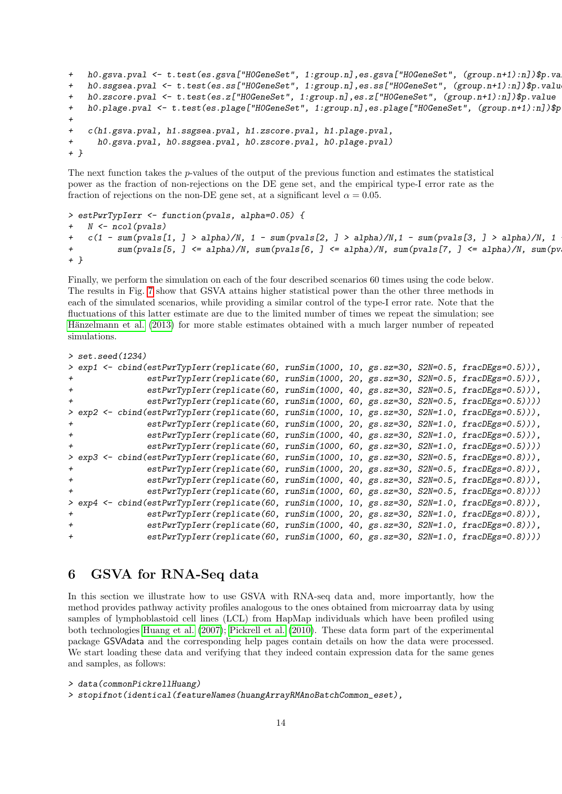```
+ h0.gsva.pval <- t.test(es.gsva["HOGeneSet", 1:group.n],es.gsva["HOGeneSet", (group.n+1):n])$p.va
+ h0.ssgsea.pval <- t.test(es.ss["H0GeneSet", 1:group.n],es.ss["H0GeneSet", (group.n+1):n])$p.value
+ h0.zscore.pval <- t.test(es.z["H0GeneSet", 1:group.n],es.z["H0GeneSet", (group.n+1):n])$p.value
+ h0.plage.pval <- t.test(es.plage["H0GeneSet", 1:group.n],es.plage["H0GeneSet", (group.n+1):n])$p
+
+ c(h1.gsva.pval, h1.ssgsea.pval, h1.zscore.pval, h1.plage.pval,
+ h0.gsva.pval, h0.ssgsea.pval, h0.zscore.pval, h0.plage.pval)
+ }
```
The next function takes the  $p$ -values of the output of the previous function and estimates the statistical power as the fraction of non-rejections on the DE gene set, and the empirical type-I error rate as the fraction of rejections on the non-DE gene set, at a significant level  $\alpha = 0.05$ .

```
> estPwrTypIerr <- function(pvals, alpha=0.05) {
    N \leftarrow \text{ncol}(\text{pvals})+ c(1 - \text{sum(pvals[1, ] > alpha)/N, 1 - sum(pvals[2, ] > alpha)/N, 1 - sum(pvals[3, ] > alpha)/N, 1+ sum(pvals[5, ] <= alpha)/N, sum(pvals[6, ] <= alpha)/N, sum(pvals[7, ] <= alpha)/N, sum(pvals[8, ] <= alpha)/N)
+ }
```
Finally, we perform the simulation on each of the four described scenarios 60 times using the code below. The results in Fig. [7](#page-14-0) show that GSVA attains higher statistical power than the other three methods in each of the simulated scenarios, while providing a similar control of the type-I error rate. Note that the fluctuations of this latter estimate are due to the limited number of times we repeat the simulation; see Hänzelmann et al. (2013) for more stable estimates obtained with a much larger number of repeated simulations.

```
> set.seed(1234)
> exp1 <- cbind(estPwrTypIerr(replicate(60, runSim(1000, 10, gs.sz=30, S2N=0.5, fracDEgs=0.5))),
+ estPwrTypIerr(replicate(60, runSim(1000, 20, gs.sz=30, S2N=0.5, fracDEgs=0.5))),
+ estPwrTypIerr(replicate(60, runSim(1000, 40, gs.sz=30, S2N=0.5, fracDEgs=0.5))),
              estPwrTypIerr(replicate(60, runSim(1000, 60, gs.sz=30, S2N=0.5, fracDEgs=0.5))))
> exp2 <- cbind(estPwrTypIerr(replicate(60, runSim(1000, 10, gs.sz=30, S2N=1.0, fracDEgs=0.5))),
+ estPwrTypIerr(replicate(60, runSim(1000, 20, gs.sz=30, S2N=1.0, fracDEgs=0.5))),
+ estPwrTypIerr(replicate(60, runSim(1000, 40, gs.sz=30, S2N=1.0, fracDEgs=0.5))),
+ estPwrTypIerr(replicate(60, runSim(1000, 60, gs.sz=30, S2N=1.0, fracDEgs=0.5))))
> exp3 <- cbind(estPwrTypIerr(replicate(60, runSim(1000, 10, gs.sz=30, S2N=0.5, fracDEgs=0.8))),
+ estPwrTypIerr(replicate(60, runSim(1000, 20, gs.sz=30, S2N=0.5, fracDEgs=0.8))),
+ estPwrTypIerr(replicate(60, runSim(1000, 40, gs.sz=30, S2N=0.5, fracDEgs=0.8))),
+ estPwrTypIerr(replicate(60, runSim(1000, 60, gs.sz=30, S2N=0.5, fracDEgs=0.8)))
> exp4 <- cbind(estPwrTypIerr(replicate(60, runSim(1000, 10, gs.sz=30, S2N=1.0, fracDEgs=0.8))),
+ estPwrTypIerr(replicate(60, runSim(1000, 20, gs.sz=30, S2N=1.0, fracDEgs=0.8))),
+ estPwrTypIerr(replicate(60, runSim(1000, 40, gs.sz=30, S2N=1.0, fracDEgs=0.8))),
+ estPwrTypIerr(replicate(60, runSim(1000, 60, gs.sz=30, S2N=1.0, fracDEgs=0.8))))
```
### 6 GSVA for RNA-Seq data

In this section we illustrate how to use GSVA with RNA-seq data and, more importantly, how the method provides pathway activity profiles analogous to the ones obtained from microarray data by using samples of lymphoblastoid cell lines (LCL) from HapMap individuals which have been profiled using both technologies [Huang et al. \(2007\)](#page-19-11); [Pickrell et al. \(2010\)](#page-19-12). These data form part of the experimental package GSVAdata and the corresponding help pages contain details on how the data were processed. We start loading these data and verifying that they indeed contain expression data for the same genes and samples, as follows:

```
> data(commonPickrellHuang)
```

```
> stopifnot(identical(featureNames(huangArrayRMAnoBatchCommon_eset),
```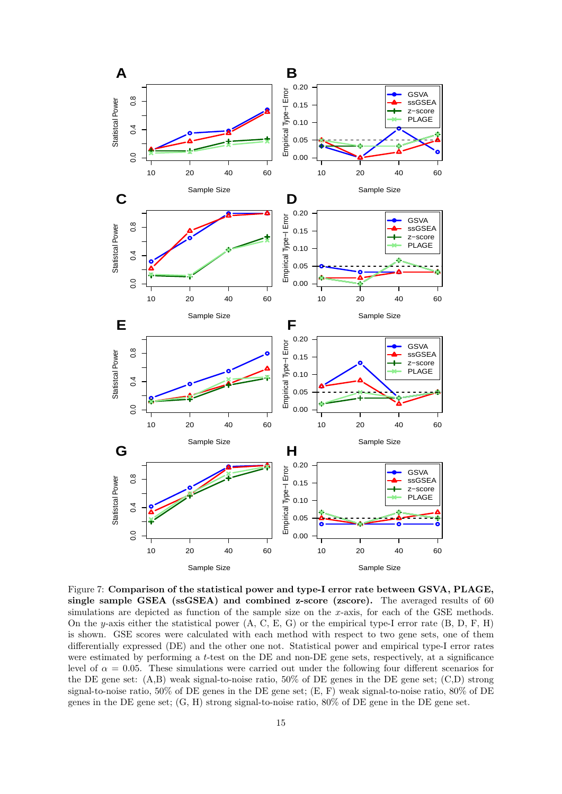

<span id="page-14-0"></span>Figure 7: Comparison of the statistical power and type-I error rate between GSVA, PLAGE, single sample GSEA (ssGSEA) and combined z-score (zscore). The averaged results of 60 simulations are depicted as function of the sample size on the x-axis, for each of the GSE methods. On the y-axis either the statistical power (A, C, E, G) or the empirical type-I error rate (B, D, F, H) is shown. GSE scores were calculated with each method with respect to two gene sets, one of them differentially expressed (DE) and the other one not. Statistical power and empirical type-I error rates were estimated by performing a t-test on the DE and non-DE gene sets, respectively, at a significance level of  $\alpha = 0.05$ . These simulations were carried out under the following four different scenarios for the DE gene set: (A,B) weak signal-to-noise ratio, 50% of DE genes in the DE gene set; (C,D) strong signal-to-noise ratio, 50% of DE genes in the DE gene set; (E, F) weak signal-to-noise ratio, 80% of DE genes in the DE gene set; (G, H) strong signal-to-noise ratio, 80% of DE gene in the DE gene set.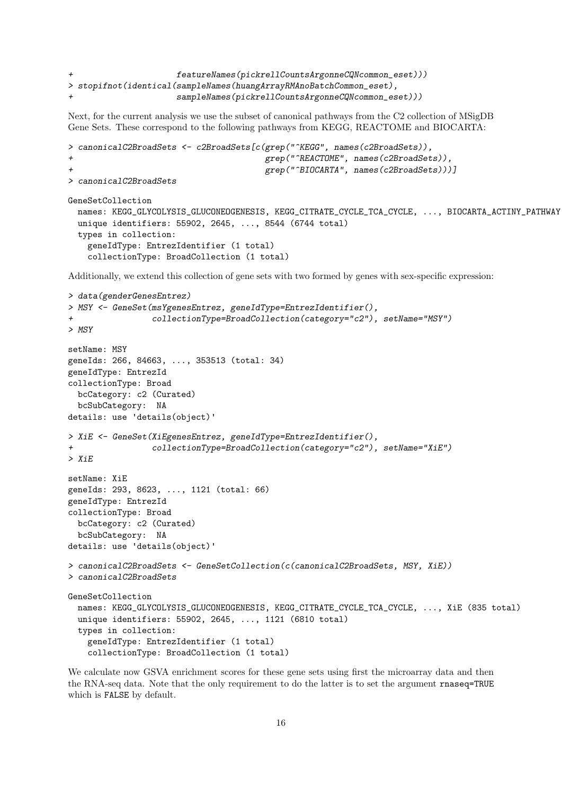```
featureNames(pickrellCountsArgonneCQNcommon\_eset)))> stopifnot(identical(sampleNames(huangArrayRMAnoBatchCommon_eset),
                      + sampleNames(pickrellCountsArgonneCQNcommon_eset)))
```
Next, for the current analysis we use the subset of canonical pathways from the C2 collection of MSigDB Gene Sets. These correspond to the following pathways from KEGG, REACTOME and BIOCARTA:

```
> canonicalC2BroadSets <- c2BroadSets[c(grep("^KEGG", names(c2BroadSets)),
                                        grep("^REACTOME", names(c2BroadSets)),
                                        grep("^BIOCARTA", names(c2BroadSets)))]
> canonicalC2BroadSets
GeneSetCollection
 names: KEGG_GLYCOLYSIS_GLUCONEOGENESIS, KEGG_CITRATE_CYCLE_TCA_CYCLE, ..., BIOCARTA_ACTINY_PATHWAY
 unique identifiers: 55902, 2645, ..., 8544 (6744 total)
 types in collection:
   geneIdType: EntrezIdentifier (1 total)
    collectionType: BroadCollection (1 total)
```
Additionally, we extend this collection of gene sets with two formed by genes with sex-specific expression:

```
> data(genderGenesEntrez)
> MSY <- GeneSet(msYgenesEntrez, geneIdType=EntrezIdentifier(),
+ collectionType=BroadCollection(category="c2"), setName="MSY")
> MSY
setName: MSY
geneIds: 266, 84663, ..., 353513 (total: 34)
geneIdType: EntrezId
collectionType: Broad
 bcCategory: c2 (Curated)
 bcSubCategory: NA
details: use 'details(object)'
> XiE <- GeneSet(XiEgenesEntrez, geneIdType=EntrezIdentifier(),
+ collectionType=BroadCollection(category="c2"), setName="XiE")
> XiEsetName: XiE
geneIds: 293, 8623, ..., 1121 (total: 66)
geneIdType: EntrezId
collectionType: Broad
 bcCategory: c2 (Curated)
 bcSubCategory: NA
details: use 'details(object)'
> canonicalC2BroadSets <- GeneSetCollection(c(canonicalC2BroadSets, MSY, XiE))
> canonicalC2BroadSets
GeneSetCollection
 names: KEGG_GLYCOLYSIS_GLUCONEOGENESIS, KEGG_CITRATE_CYCLE_TCA_CYCLE, ..., XiE (835 total)
 unique identifiers: 55902, 2645, ..., 1121 (6810 total)
 types in collection:
   geneIdType: EntrezIdentifier (1 total)
    collectionType: BroadCollection (1 total)
```
We calculate now GSVA enrichment scores for these gene sets using first the microarray data and then the RNA-seq data. Note that the only requirement to do the latter is to set the argument rnaseq=TRUE which is FALSE by default.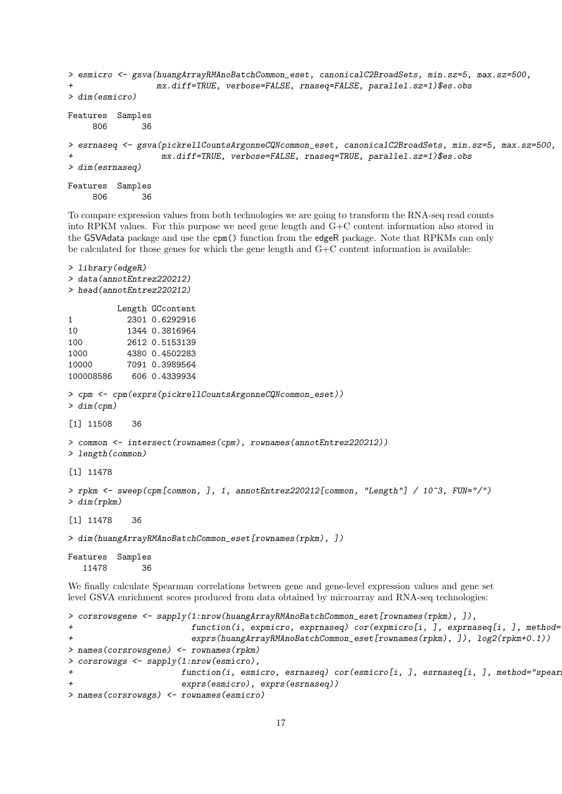```
> esmicro <- gsva(huangArrayRMAnoBatchCommon_eset, canonicalC2BroadSets, min.sz=5, max.sz=500,
                 mx.diff=TRUE, verbose=FALSE, rnaseq=FALSE, parallel.sz=1)$es.obs
> dim(esmicro)
Features Samples
    806 36
> esrnaseq <- gsva(pickrellCountsArgonneCQNcommon_eset, canonicalC2BroadSets, min.sz=5, max.sz=500,
                  mx.diff=TRUE, verbose=FALSE, rnaseq=TRUE, parallel.sz=1)$es.obs
> dim(esrnaseq)
Features Samples
    806 36
```
To compare expression values from both technologies we are going to transform the RNA-seq read counts into RPKM values. For this purpose we need gene length and G+C content information also stored in the GSVAdata package and use the cpm() function from the edgeR package. Note that RPKMs can only be calculated for those genes for which the gene length and G+C content information is available:

```
> library(edgeR)
> data(annotEntrez220212)
> head(annotEntrez220212)
         Length GCcontent
1 2301 0.6292916
10 1344 0.3816964
100 2612 0.5153139
1000 4380 0.4502283
10000 7091 0.3989564
100008586 606 0.4339934
> cpm <- cpm(exprs(pickrellCountsArgonneCQNcommon_eset))
> dim(cpm)
[1] 11508 36
> common <- intersect(rownames(cpm), rownames(annotEntrez220212))
> length(common)
[1] 11478
> rpkm <- sweep(cpm[common, ], 1, annotEntrez220212[common, "Length"] / 10^3, FUN="/")
> dim(rpkm)
[1] 11478 36
> dim(huangArrayRMAnoBatchCommon_eset[rownames(rpkm), ])
Features Samples
  11478 36
```
We finally calculate Spearman correlations between gene and gene-level expression values and gene set level GSVA enrichment scores produced from data obtained by microarray and RNA-seq technologies:

```
> corsrowsgene <- sapply(1:nrow(huangArrayRMAnoBatchCommon_eset[rownames(rpkm), ]),
+ function(i, expmicro, exprnaseq) cor(expmicro[i, ], exprnaseq[i, ], method=
                      exprs(huangArrayRMAnoBatchCommon_eset[rownames(rpkm), ]), log2(rpkm+0.1))
> names(corsrowsgene) <- rownames(rpkm)
> corsrowsgs <- sapply(1:nrow(esmicro),
+ function(i, esmicro, esrnaseq) cor(esmicro[i, ], esrnaseq[i, ], method="spear
+ exprs(esmicro), exprs(esrnaseq))
> names(corsrowsgs) <- rownames(esmicro)
```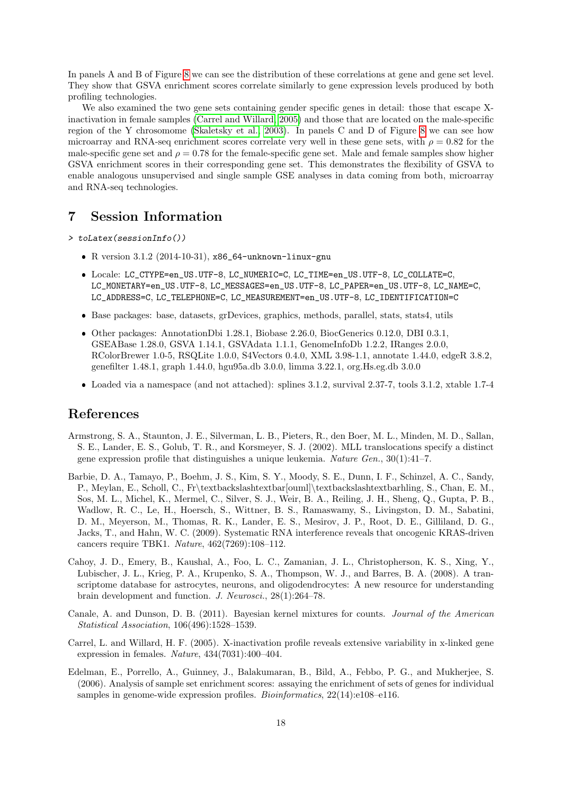In panels A and B of Figure [8](#page-18-0) we can see the distribution of these correlations at gene and gene set level. They show that GSVA enrichment scores correlate similarly to gene expression levels produced by both profiling technologies.

We also examined the two gene sets containing gender specific genes in detail: those that escape Xinactivation in female samples [\(Carrel and Willard, 2005\)](#page-17-5) and those that are located on the male-specific region of the Y chrosomome [\(Skaletsky et al., 2003\)](#page-19-13). In panels C and D of Figure [8](#page-18-0) we can see how microarray and RNA-seq enrichment scores correlate very well in these gene sets, with  $\rho = 0.82$  for the male-specific gene set and  $\rho = 0.78$  for the female-specific gene set. Male and female samples show higher GSVA enrichment scores in their corresponding gene set. This demonstrates the flexibility of GSVA to enable analogous unsupervised and single sample GSE analyses in data coming from both, microarray and RNA-seq technologies.

### 7 Session Information

> toLatex(sessionInfo())

- R version 3.1.2 (2014-10-31), x86\_64-unknown-linux-gnu
- Locale: LC\_CTYPE=en\_US.UTF-8, LC\_NUMERIC=C, LC\_TIME=en\_US.UTF-8, LC\_COLLATE=C, LC\_MONETARY=en\_US.UTF-8, LC\_MESSAGES=en\_US.UTF-8, LC\_PAPER=en\_US.UTF-8, LC\_NAME=C, LC\_ADDRESS=C, LC\_TELEPHONE=C, LC\_MEASUREMENT=en\_US.UTF-8, LC\_IDENTIFICATION=C
- Base packages: base, datasets, grDevices, graphics, methods, parallel, stats, stats4, utils
- Other packages: AnnotationDbi 1.28.1, Biobase 2.26.0, BiocGenerics 0.12.0, DBI 0.3.1, GSEABase 1.28.0, GSVA 1.14.1, GSVAdata 1.1.1, GenomeInfoDb 1.2.2, IRanges 2.0.0, RColorBrewer 1.0-5, RSQLite 1.0.0, S4Vectors 0.4.0, XML 3.98-1.1, annotate 1.44.0, edgeR 3.8.2, genefilter 1.48.1, graph 1.44.0, hgu95a.db 3.0.0, limma 3.22.1, org.Hs.eg.db 3.0.0
- Loaded via a namespace (and not attached): splines 3.1.2, survival 2.37-7, tools 3.1.2, xtable 1.7-4

### References

- <span id="page-17-3"></span>Armstrong, S. A., Staunton, J. E., Silverman, L. B., Pieters, R., den Boer, M. L., Minden, M. D., Sallan, S. E., Lander, E. S., Golub, T. R., and Korsmeyer, S. J. (2002). MLL translocations specify a distinct gene expression profile that distinguishes a unique leukemia. Nature Gen., 30(1):41–7.
- <span id="page-17-2"></span>Barbie, D. A., Tamayo, P., Boehm, J. S., Kim, S. Y., Moody, S. E., Dunn, I. F., Schinzel, A. C., Sandy, P., Meylan, E., Scholl, C., Fr\textbackslashtextbar[ouml]\textbackslashtextbarhling, S., Chan, E. M., Sos, M. L., Michel, K., Mermel, C., Silver, S. J., Weir, B. A., Reiling, J. H., Sheng, Q., Gupta, P. B., Wadlow, R. C., Le, H., Hoersch, S., Wittner, B. S., Ramaswamy, S., Livingston, D. M., Sabatini, D. M., Meyerson, M., Thomas, R. K., Lander, E. S., Mesirov, J. P., Root, D. E., Gilliland, D. G., Jacks, T., and Hahn, W. C. (2009). Systematic RNA interference reveals that oncogenic KRAS-driven cancers require TBK1. Nature, 462(7269):108–112.
- <span id="page-17-4"></span>Cahoy, J. D., Emery, B., Kaushal, A., Foo, L. C., Zamanian, J. L., Christopherson, K. S., Xing, Y., Lubischer, J. L., Krieg, P. A., Krupenko, S. A., Thompson, W. J., and Barres, B. A. (2008). A transcriptome database for astrocytes, neurons, and oligodendrocytes: A new resource for understanding brain development and function. J. Neurosci., 28(1):264–78.
- <span id="page-17-0"></span>Canale, A. and Dunson, D. B. (2011). Bayesian kernel mixtures for counts. Journal of the American Statistical Association, 106(496):1528–1539.
- <span id="page-17-5"></span>Carrel, L. and Willard, H. F. (2005). X-inactivation profile reveals extensive variability in x-linked gene expression in females. Nature, 434(7031):400–404.
- <span id="page-17-1"></span>Edelman, E., Porrello, A., Guinney, J., Balakumaran, B., Bild, A., Febbo, P. G., and Mukherjee, S. (2006). Analysis of sample set enrichment scores: assaying the enrichment of sets of genes for individual samples in genome-wide expression profiles. Bioinformatics,  $22(14):e108-116$ .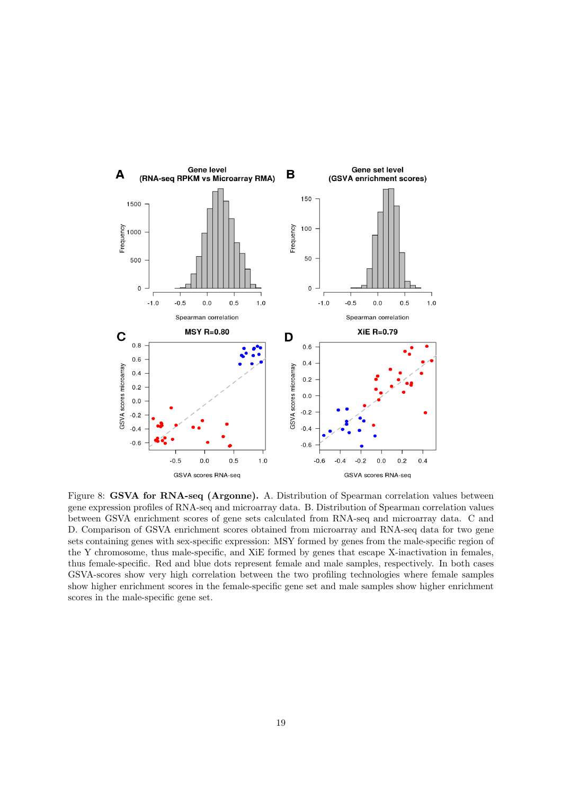

<span id="page-18-0"></span>Figure 8: GSVA for RNA-seq (Argonne). A. Distribution of Spearman correlation values between gene expression profiles of RNA-seq and microarray data. B. Distribution of Spearman correlation values between GSVA enrichment scores of gene sets calculated from RNA-seq and microarray data. C and D. Comparison of GSVA enrichment scores obtained from microarray and RNA-seq data for two gene sets containing genes with sex-specific expression: MSY formed by genes from the male-specific region of the Y chromosome, thus male-specific, and XiE formed by genes that escape X-inactivation in females, thus female-specific. Red and blue dots represent female and male samples, respectively. In both cases GSVA-scores show very high correlation between the two profiling technologies where female samples show higher enrichment scores in the female-specific gene set and male samples show higher enrichment scores in the male-specific gene set.